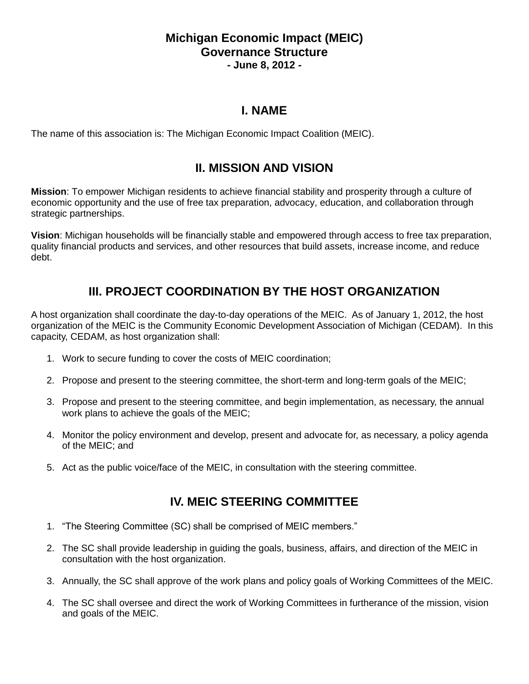#### **Michigan Economic Impact (MEIC) Governance Structure - June 8, 2012 -**

#### **I. NAME**

The name of this association is: The Michigan Economic Impact Coalition (MEIC).

### **II. MISSION AND VISION**

**Mission**: To empower Michigan residents to achieve financial stability and prosperity through a culture of economic opportunity and the use of free tax preparation, advocacy, education, and collaboration through strategic partnerships.

**Vision**: Michigan households will be financially stable and empowered through access to free tax preparation, quality financial products and services, and other resources that build assets, increase income, and reduce debt.

# **III. PROJECT COORDINATION BY THE HOST ORGANIZATION**

A host organization shall coordinate the day-to-day operations of the MEIC. As of January 1, 2012, the host organization of the MEIC is the Community Economic Development Association of Michigan (CEDAM). In this capacity, CEDAM, as host organization shall:

- 1. Work to secure funding to cover the costs of MEIC coordination;
- 2. Propose and present to the steering committee, the short-term and long-term goals of the MEIC;
- 3. Propose and present to the steering committee, and begin implementation, as necessary, the annual work plans to achieve the goals of the MEIC;
- 4. Monitor the policy environment and develop, present and advocate for, as necessary, a policy agenda of the MEIC; and
- 5. Act as the public voice/face of the MEIC, in consultation with the steering committee.

### **IV. MEIC STEERING COMMITTEE**

- 1. "The Steering Committee (SC) shall be comprised of MEIC members."
- 2. The SC shall provide leadership in guiding the goals, business, affairs, and direction of the MEIC in consultation with the host organization.
- 3. Annually, the SC shall approve of the work plans and policy goals of Working Committees of the MEIC.
- 4. The SC shall oversee and direct the work of Working Committees in furtherance of the mission, vision and goals of the MEIC.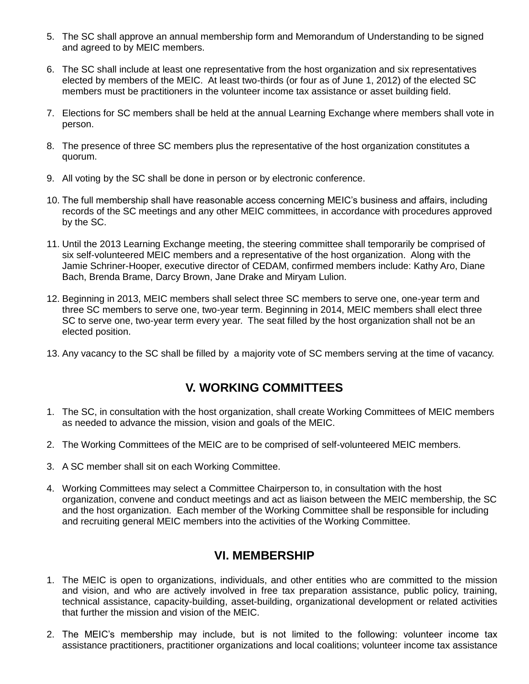- 5. The SC shall approve an annual membership form and Memorandum of Understanding to be signed and agreed to by MEIC members.
- 6. The SC shall include at least one representative from the host organization and six representatives elected by members of the MEIC. At least two-thirds (or four as of June 1, 2012) of the elected SC members must be practitioners in the volunteer income tax assistance or asset building field.
- 7. Elections for SC members shall be held at the annual Learning Exchange where members shall vote in person.
- 8. The presence of three SC members plus the representative of the host organization constitutes a quorum.
- 9. All voting by the SC shall be done in person or by electronic conference.
- 10. The full membership shall have reasonable access concerning MEIC's business and affairs, including records of the SC meetings and any other MEIC committees, in accordance with procedures approved by the SC.
- 11. Until the 2013 Learning Exchange meeting, the steering committee shall temporarily be comprised of six self-volunteered MEIC members and a representative of the host organization. Along with the Jamie Schriner-Hooper, executive director of CEDAM, confirmed members include: Kathy Aro, Diane Bach, Brenda Brame, Darcy Brown, Jane Drake and Miryam Lulion.
- 12. Beginning in 2013, MEIC members shall select three SC members to serve one, one-year term and three SC members to serve one, two-year term. Beginning in 2014, MEIC members shall elect three SC to serve one, two-year term every year. The seat filled by the host organization shall not be an elected position.
- 13. Any vacancy to the SC shall be filled by a majority vote of SC members serving at the time of vacancy.

# **V. WORKING COMMITTEES**

- 1. The SC, in consultation with the host organization, shall create Working Committees of MEIC members as needed to advance the mission, vision and goals of the MEIC.
- 2. The Working Committees of the MEIC are to be comprised of self-volunteered MEIC members.
- 3. A SC member shall sit on each Working Committee.
- 4. Working Committees may select a Committee Chairperson to, in consultation with the host organization, convene and conduct meetings and act as liaison between the MEIC membership, the SC and the host organization. Each member of the Working Committee shall be responsible for including and recruiting general MEIC members into the activities of the Working Committee.

### **VI. MEMBERSHIP**

- 1. The MEIC is open to organizations, individuals, and other entities who are committed to the mission and vision, and who are actively involved in free tax preparation assistance, public policy, training, technical assistance, capacity-building, asset-building, organizational development or related activities that further the mission and vision of the MEIC.
- 2. The MEIC's membership may include, but is not limited to the following: volunteer income tax assistance practitioners, practitioner organizations and local coalitions; volunteer income tax assistance